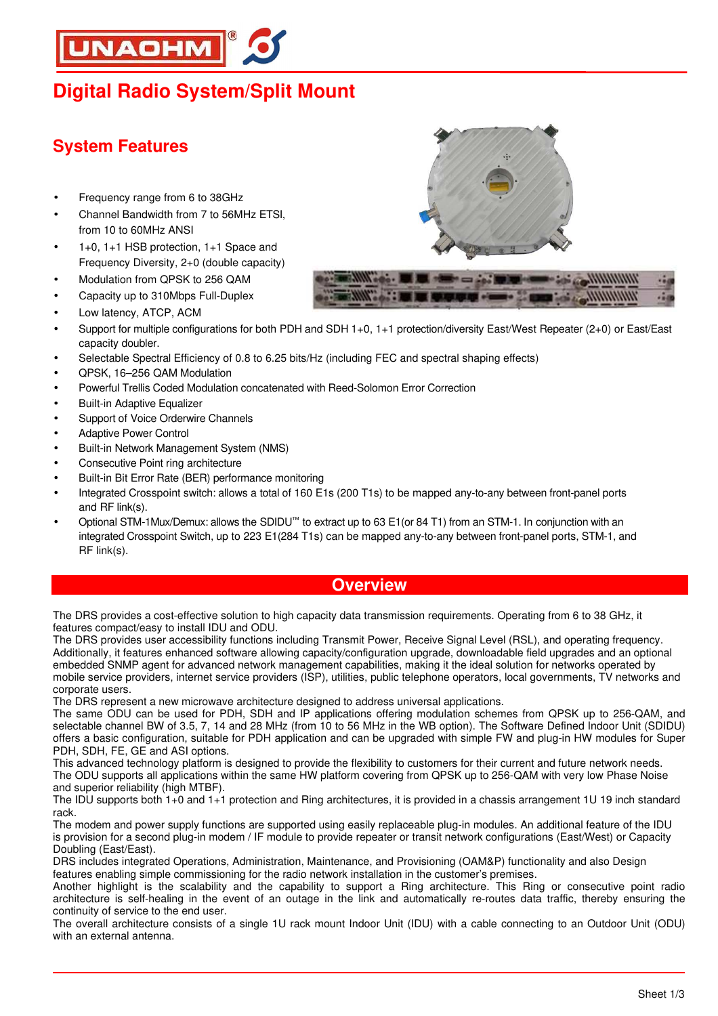# **INAOHM**

## **Digital Radio System/Split Mount**

### **System Features**

- Frequency range from 6 to 38GHz
- Channel Bandwidth from 7 to 56MHz ETSI, from 10 to 60MHz ANSI
- 1+0, 1+1 HSB protection, 1+1 Space and Frequency Diversity, 2+0 (double capacity)
- Modulation from QPSK to 256 QAM
- Capacity up to 310Mbps Full-Duplex
- Low latency, ATCP, ACM





- Support for multiple configurations for both PDH and SDH 1+0, 1+1 protection/diversity East/West Repeater (2+0) or East/East capacity doubler.
- Selectable Spectral Efficiency of 0.8 to 6.25 bits/Hz (including FEC and spectral shaping effects)
- QPSK, 16–256 QAM Modulation
- Powerful Trellis Coded Modulation concatenated with Reed-Solomon Error Correction
- Built-in Adaptive Equalizer
- Support of Voice Orderwire Channels
- Adaptive Power Control
- Built-in Network Management System (NMS)
- Consecutive Point ring architecture
- Built-in Bit Error Rate (BER) performance monitoring
- Integrated Crosspoint switch: allows a total of 160 E1s (200 T1s) to be mapped any-to-any between front-panel ports and RF link(s).
- Optional STM-1Mux/Demux: allows the SDIDU™ to extract up to 63 E1(or 84 T1) from an STM-1. In conjunction with an integrated Crosspoint Switch, up to 223 E1(284 T1s) can be mapped any-to-any between front-panel ports, STM-1, and RF link(s).

#### **Overview**

The DRS provides a cost-effective solution to high capacity data transmission requirements. Operating from 6 to 38 GHz, it features compact/easy to install IDU and ODU.

The DRS provides user accessibility functions including Transmit Power, Receive Signal Level (RSL), and operating frequency. Additionally, it features enhanced software allowing capacity/configuration upgrade, downloadable field upgrades and an optional embedded SNMP agent for advanced network management capabilities, making it the ideal solution for networks operated by mobile service providers, internet service providers (ISP), utilities, public telephone operators, local governments, TV networks and corporate users.

The DRS represent a new microwave architecture designed to address universal applications.

The same ODU can be used for PDH, SDH and IP applications offering modulation schemes from QPSK up to 256-QAM, and selectable channel BW of 3.5, 7, 14 and 28 MHz (from 10 to 56 MHz in the WB option). The Software Defined Indoor Unit (SDIDU) offers a basic configuration, suitable for PDH application and can be upgraded with simple FW and plug-in HW modules for Super PDH, SDH, FE, GE and ASI options.

This advanced technology platform is designed to provide the flexibility to customers for their current and future network needs. The ODU supports all applications within the same HW platform covering from QPSK up to 256-QAM with very low Phase Noise and superior reliability (high MTBF).

The IDU supports both 1+0 and 1+1 protection and Ring architectures, it is provided in a chassis arrangement 1U 19 inch standard rack.

The modem and power supply functions are supported using easily replaceable plug-in modules. An additional feature of the IDU is provision for a second plug-in modem / IF module to provide repeater or transit network configurations (East/West) or Capacity Doubling (East/East).

DRS includes integrated Operations, Administration, Maintenance, and Provisioning (OAM&P) functionality and also Design features enabling simple commissioning for the radio network installation in the customer's premises.

Another highlight is the scalability and the capability to support a Ring architecture. This Ring or consecutive point radio architecture is self-healing in the event of an outage in the link and automatically re-routes data traffic, thereby ensuring the continuity of service to the end user.

The overall architecture consists of a single 1U rack mount Indoor Unit (IDU) with a cable connecting to an Outdoor Unit (ODU) with an external antenna.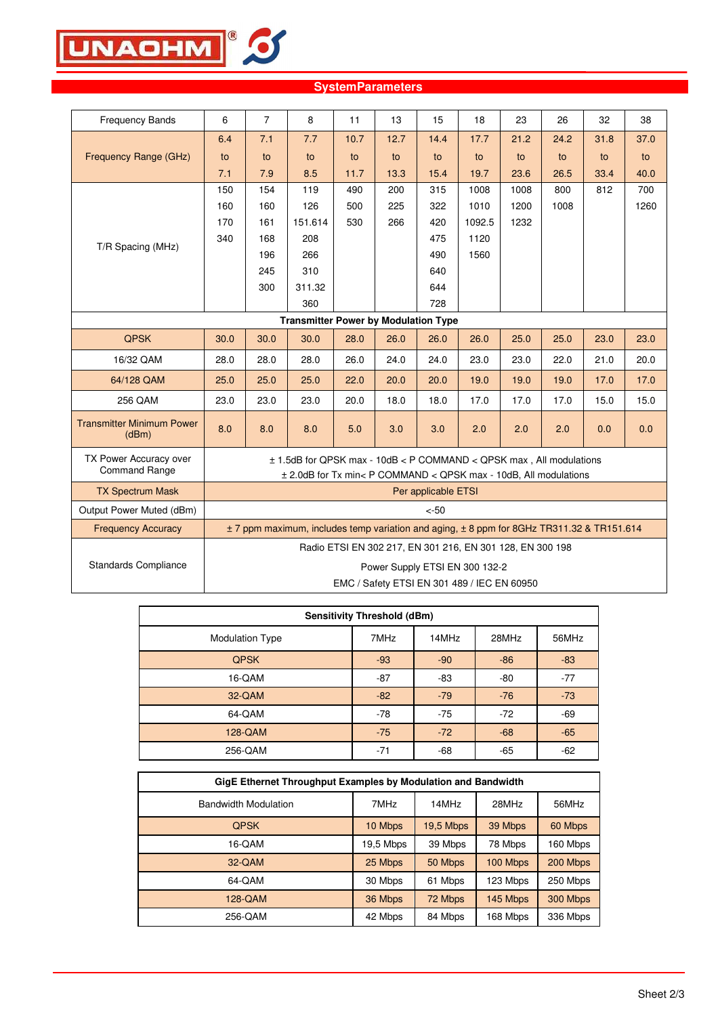

| <b>Frequency Bands</b>                         | 6                                                                                         | $\overline{7}$                                                                                                                          | 8       | 11   | 13   | 15   | 18                                                        | 23   | 26   | 32   | 38   |
|------------------------------------------------|-------------------------------------------------------------------------------------------|-----------------------------------------------------------------------------------------------------------------------------------------|---------|------|------|------|-----------------------------------------------------------|------|------|------|------|
|                                                | 6.4                                                                                       | 7.1                                                                                                                                     | 7.7     | 10.7 | 12.7 | 14.4 | 17.7                                                      | 21.2 | 24.2 | 31.8 | 37.0 |
| Frequency Range (GHz)                          | to                                                                                        | to                                                                                                                                      | to      | to   | to   | to   | to                                                        | to   | to   | to   | to   |
|                                                | 7.1                                                                                       | 7.9                                                                                                                                     | 8.5     | 11.7 | 13.3 | 15.4 | 19.7                                                      | 23.6 | 26.5 | 33.4 | 40.0 |
|                                                | 150                                                                                       | 154                                                                                                                                     | 119     | 490  | 200  | 315  | 1008                                                      | 1008 | 800  | 812  | 700  |
|                                                | 160                                                                                       | 160                                                                                                                                     | 126     | 500  | 225  | 322  | 1010                                                      | 1200 | 1008 |      | 1260 |
|                                                | 170                                                                                       | 161                                                                                                                                     | 151.614 | 530  | 266  | 420  | 1092.5                                                    | 1232 |      |      |      |
| T/R Spacing (MHz)                              | 340                                                                                       | 168                                                                                                                                     | 208     |      |      | 475  | 1120                                                      |      |      |      |      |
|                                                |                                                                                           | 196                                                                                                                                     | 266     |      |      | 490  | 1560                                                      |      |      |      |      |
|                                                |                                                                                           | 245                                                                                                                                     | 310     |      |      | 640  |                                                           |      |      |      |      |
|                                                |                                                                                           | 300                                                                                                                                     | 311.32  |      |      | 644  |                                                           |      |      |      |      |
|                                                |                                                                                           |                                                                                                                                         | 360     |      |      | 728  |                                                           |      |      |      |      |
| <b>Transmitter Power by Modulation Type</b>    |                                                                                           |                                                                                                                                         |         |      |      |      |                                                           |      |      |      |      |
| <b>QPSK</b>                                    | 30.0                                                                                      | 30.0                                                                                                                                    | 30.0    | 28.0 | 26.0 | 26.0 | 26.0                                                      | 25.0 | 25.0 | 23.0 | 23.0 |
| 16/32 QAM                                      | 28.0                                                                                      | 28.0                                                                                                                                    | 28.0    | 26.0 | 24.0 | 24.0 | 23.0                                                      | 23.0 | 22.0 | 21.0 | 20.0 |
| 64/128 QAM                                     | 25.0                                                                                      | 25.0                                                                                                                                    | 25.0    | 22.0 | 20.0 | 20.0 | 19.0                                                      | 19.0 | 19.0 | 17.0 | 17.0 |
| 256 QAM                                        | 23.0                                                                                      | 23.0                                                                                                                                    | 23.0    | 20.0 | 18.0 | 18.0 | 17.0                                                      | 17.0 | 17.0 | 15.0 | 15.0 |
| <b>Transmitter Minimum Power</b><br>(dBm)      | 8.0                                                                                       | 8.0                                                                                                                                     | 8.0     | 5.0  | 3.0  | 3.0  | 2.0                                                       | 2.0  | 2.0  | 0.0  | 0.0  |
| TX Power Accuracy over<br><b>Command Range</b> |                                                                                           | ± 1.5dB for QPSK max - 10dB < P COMMAND < QPSK max, All modulations<br>± 2.0dB for Tx min< P COMMAND < QPSK max - 10dB, All modulations |         |      |      |      |                                                           |      |      |      |      |
| <b>TX Spectrum Mask</b>                        |                                                                                           | Per applicable ETSI                                                                                                                     |         |      |      |      |                                                           |      |      |      |      |
| Output Power Muted (dBm)                       | $< -50$                                                                                   |                                                                                                                                         |         |      |      |      |                                                           |      |      |      |      |
| <b>Frequency Accuracy</b>                      | ± 7 ppm maximum, includes temp variation and aging, ± 8 ppm for 8GHz TR311.32 & TR151.614 |                                                                                                                                         |         |      |      |      |                                                           |      |      |      |      |
|                                                |                                                                                           |                                                                                                                                         |         |      |      |      | Radio ETSI EN 302 217, EN 301 216, EN 301 128, EN 300 198 |      |      |      |      |
| <b>Standards Compliance</b>                    | Power Supply ETSI EN 300 132-2                                                            |                                                                                                                                         |         |      |      |      |                                                           |      |      |      |      |
|                                                | EMC / Safety ETSI EN 301 489 / IEC EN 60950                                               |                                                                                                                                         |         |      |      |      |                                                           |      |      |      |      |

#### **SystemParameters**

| <b>Sensitivity Threshold (dBm)</b> |       |       |       |       |  |  |
|------------------------------------|-------|-------|-------|-------|--|--|
| <b>Modulation Type</b>             | 7MHz  | 14MHz | 28MHz | 56MHz |  |  |
| <b>QPSK</b>                        | $-93$ | $-90$ | $-86$ | $-83$ |  |  |
| 16-QAM                             | $-87$ | -83   | $-80$ | $-77$ |  |  |
| 32-QAM                             | $-82$ | $-79$ | $-76$ | $-73$ |  |  |
| 64-QAM                             | $-78$ | $-75$ | $-72$ | $-69$ |  |  |
| 128-QAM                            | $-75$ | $-72$ | $-68$ | $-65$ |  |  |
| 256-QAM                            | $-71$ | -68   | $-65$ | $-62$ |  |  |

| GigE Ethernet Throughput Examples by Modulation and Bandwidth |          |           |          |          |  |
|---------------------------------------------------------------|----------|-----------|----------|----------|--|
| <b>Bandwidth Modulation</b>                                   | 7MHz     | 14MHz     | 28MHz    | 56MHz    |  |
| <b>QPSK</b>                                                   | 10 Mbps  | 19,5 Mbps | 39 Mbps  | 60 Mbps  |  |
| 16-QAM                                                        | 9,5 Mbps | 39 Mbps   | 78 Mbps  | 160 Mbps |  |
| 32-QAM                                                        | 25 Mbps  | 50 Mbps   | 100 Mbps | 200 Mbps |  |
| 64-QAM                                                        | 30 Mbps  | 61 Mbps   | 123 Mbps | 250 Mbps |  |
| 128-QAM                                                       | 36 Mbps  | 72 Mbps   | 145 Mbps | 300 Mbps |  |
| 256-QAM                                                       | 42 Mbps  | 84 Mbps   | 168 Mbps | 336 Mbps |  |